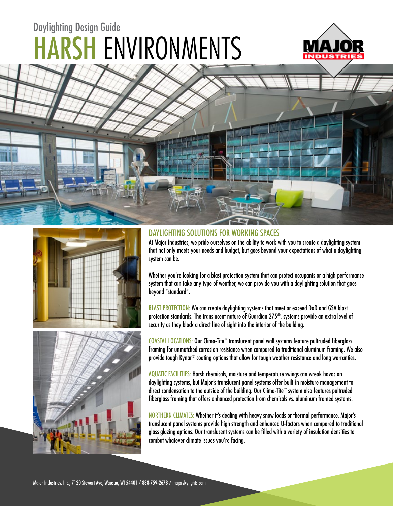# HARSH ENVIRONMENTS Daylighting Design Guide









#### DAYLIGHTING SOLUTIONS FOR WORKING SPACES

At Major Industries, we pride ourselves on the ability to work with you to create a daylighting system that not only meets your needs and budget, but goes beyond your expectations of what a daylighting system can be.

Whether you're looking for a blast protection system that can protect occupants or a high-performance system that can take any type of weather, we can provide you with a daylighting solution that goes beyond "standard".

BLAST PROTECTION: We can create daylighting systems that meet or exceed DoD and GSA blast protection standards. The translucent nature of Guardian 275®, systems provide an extra level of security as they block a direct line of sight into the interior of the building.

COASTAL LOCATIONS: Our Clima-Tite™ translucent panel wall systems feature pultruded fiberglass framing for unmatched corrosion resistance when compared to traditional aluminum framing. We also provide tough Kynar® coating options that allow for tough weather resistance and long warranties.

AQUATIC FACILITIES: Harsh chemicals, moisture and temperature swings can wreak havoc on daylighting systems, but Major's translucent panel systems offer built-in moisture management to direct condensation to the outside of the building. Our Clima-Tite™ system also features pultruded fiberglass framing that offers enhanced protection from chemicals vs. aluminum framed systems.

NORTHERN CLIMATES: Whether it's dealing with heavy snow loads or thermal performance, Major's translucent panel systems provide high strength and enhanced U-factors when compared to traditional glass glazing options. Our translucent systems can be filled with a variety of insulation densities to combat whatever climate issues you're facing.